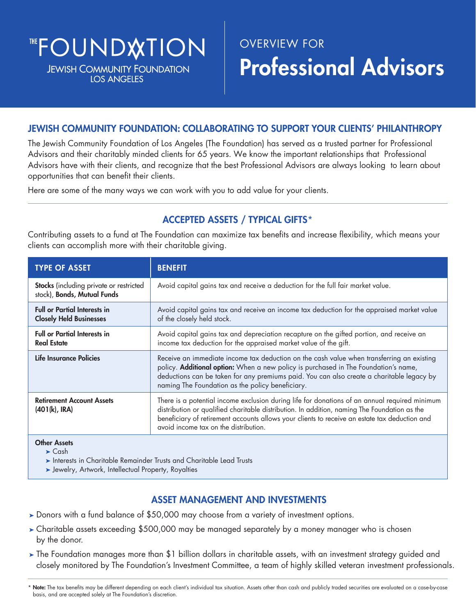# *IHEOUNDXXTION*

**JEWISH COMMUNITY FOUNDATION LOS ANGELES** 

# OVERVIEW FOR Professional Advisors

## JEWISH COMMUNITY FOUNDATION: COLLABORATING TO SUPPORT YOUR CLIENTS' PHILANTHROPY

The Jewish Community Foundation of Los Angeles (The Foundation) has served as a trusted partner for Professional Advisors and their charitably minded clients for 65 years. We know the important relationships that Professional Advisors have with their clients, and recognize that the best Professional Advisors are always looking to learn about opportunities that can benefit their clients.

Here are some of the many ways we can work with you to add value for your clients.

# ACCEPTED ASSETS / TYPICAL GIFTS\*

Contributing assets to a fund at The Foundation can maximize tax benefits and increase flexibility, which means your clients can accomplish more with their charitable giving.

| <b>TYPE OF ASSET</b>                                                          | <b>BENEFIT</b>                                                                                                                                                                                                                                                                                                                          |
|-------------------------------------------------------------------------------|-----------------------------------------------------------------------------------------------------------------------------------------------------------------------------------------------------------------------------------------------------------------------------------------------------------------------------------------|
| <b>Stocks</b> (including private or restricted<br>stock), Bonds, Mutual Funds | Avoid capital gains tax and receive a deduction for the full fair market value.                                                                                                                                                                                                                                                         |
| <b>Full or Partial Interests in</b><br><b>Closely Held Businesses</b>         | Avoid capital gains tax and receive an income tax deduction for the appraised market value<br>of the closely held stock.                                                                                                                                                                                                                |
| <b>Full or Partial Interests in</b><br><b>Real Estate</b>                     | Avoid capital gains tax and depreciation recapture on the gifted portion, and receive an<br>income tax deduction for the appraised market value of the gift.                                                                                                                                                                            |
| Life Insurance Policies                                                       | Receive an immediate income tax deduction on the cash value when transferring an existing<br>policy. Additional option: When a new policy is purchased in The Foundation's name,<br>deductions can be taken for any premiums paid. You can also create a charitable legacy by<br>naming The Foundation as the policy beneficiary.       |
| <b>Retirement Account Assets</b><br>(401(k), IRA)                             | There is a potential income exclusion during life for donations of an annual required minimum<br>distribution or qualified charitable distribution. In addition, naming The Foundation as the<br>beneficiary of retirement accounts allows your clients to receive an estate tax deduction and<br>avoid income tax on the distribution. |
| <b>Other Assets</b>                                                           |                                                                                                                                                                                                                                                                                                                                         |

➤ Cash

➤ Interests in Charitable Remainder Trusts and Charitable Lead Trusts

➤ Jewelry, Artwork, Intellectual Property, Royalties

#### ASSET MANAGEMENT AND INVESTMENTS

- ➤ Donors with a fund balance of \$50,000 may choose from a variety of investment options.
- ➤ Charitable assets exceeding \$500,000 may be managed separately by a money manager who is chosen by the donor.
- ➤ The Foundation manages more than \$1 billion dollars in charitable assets, with an investment strategy guided and closely monitored by The Foundation's Investment Committee, a team of highly skilled veteran investment professionals.

<sup>\*</sup> Note: The tax benefits may be different depending on each client's individual tax situation. Assets other than cash and publicly traded securities are evaluated on a case-by-case basis, and are accepted solely at The Foundation's discretion.